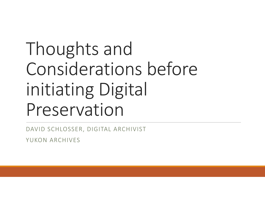# Thoughts and Considerations beforeinitiating Digital Preservation

DAVID SCHLOSSER, DIGITAL ARCHIVIST

YUKON ARCHIVES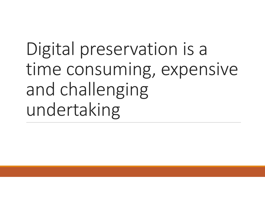# Digital preservation is <sup>a</sup> time consuming, expensive and challenging undertaking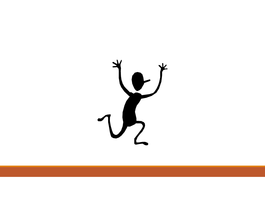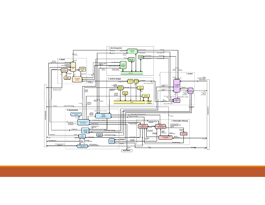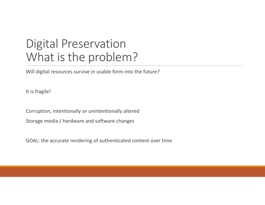# Digital Preservation What is the problem?

Will digital resources survive in usable form into the future?

It is fragile!

Corruption, intentionally or unintentionally altered

Storage media / hardware and software changes

GOAL: the accurate rendering of authenticated content over time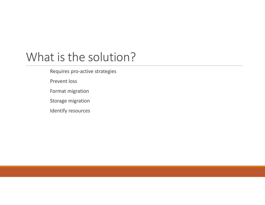# What is the solution?

Requires pro‐active strategies

Prevent loss

Format migration

Storage migration

Identify resources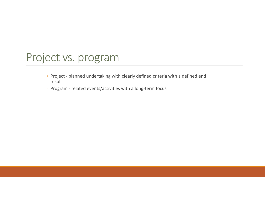## Project vs. program

- Project ‐ planned undertaking with clearly defined criteria with <sup>a</sup> defined end result
- Program ‐ related events/activities with <sup>a</sup> long‐term focus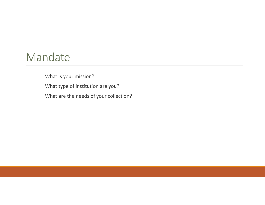## Mandate

What is your mission?

What type of institution are you?

What are the needs of your collection?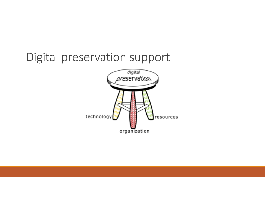## Digital preservation support

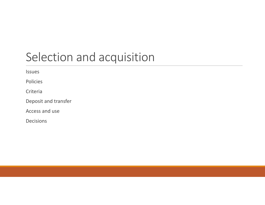# Selection and acquisition

| <b>Issues</b>        |
|----------------------|
| <b>Policies</b>      |
| Criteria             |
| Deposit and transfer |
| Access and use       |

Decisions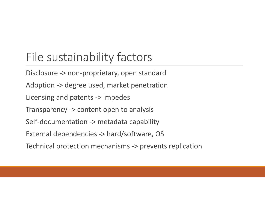# File sustainability factors

Disclosure ‐<sup>&</sup>gt; non‐proprietary, open standard Adoption ‐<sup>&</sup>gt; degree used, market penetration Licensing and patents ‐<sup>&</sup>gt; impedes Transparency ‐<sup>&</sup>gt; content open to analysis Self‐documentation ‐<sup>&</sup>gt; metadata capability External dependencies ‐<sup>&</sup>gt; hard/software, OS Technical protection mechanisms ‐<sup>&</sup>gt; prevents replication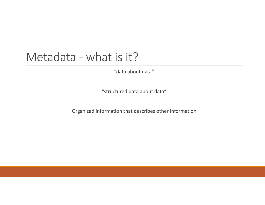## Metadata ‐ what is it?

"data about data"

"structured data about data"

Organized information that describes other information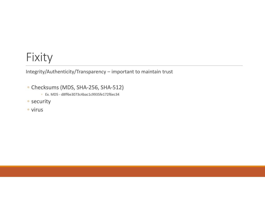# Fixity

Integrity/Authenticity/Transparency – important to maintain trust

- Checksums (MDS, SHA‐256, SHA‐512)
	- Ex. MD5 ‐ d8ff6e3073c4bac1c9935fe172f6ec34
- security
- virus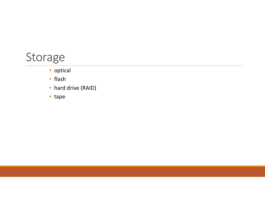# Storage

- optical
- flash
- hard drive (RAID)
- tape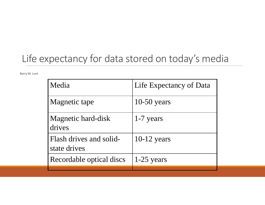#### Life expectancy for data stored on today's media

Barry M. Lunt

| Media                                   | Life Expectancy of Data |
|-----------------------------------------|-------------------------|
| Magnetic tape                           | $10-50$ years           |
| Magnetic hard-disk<br>drives            | $1-7$ years             |
| Flash drives and solid-<br>state drives | $10-12$ years           |
| Recordable optical discs                | $1-25$ years            |
|                                         |                         |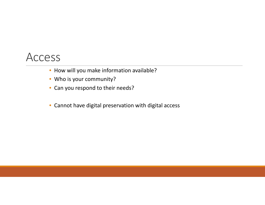#### Access

- How will you make information available?
- Who is your community?
- Can you respond to their needs?
- Cannot have digital preservation with digital access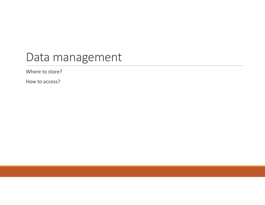### Data management

Where to store?

How to access?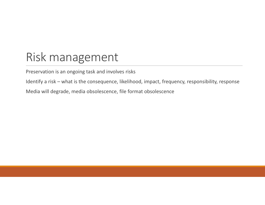# Risk management

Preservation is an ongoing task and involves risks

Identify <sup>a</sup> risk – what is the consequence, likelihood, impact, frequency, responsibility, response

Media will degrade, media obsolescence, file format obsolescence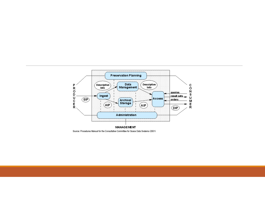

Source: Procedures Manual for the Consultative Committee for Space Data Systems (2001)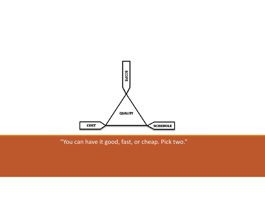

"You can have it good, fast, or cheap. Pick two."